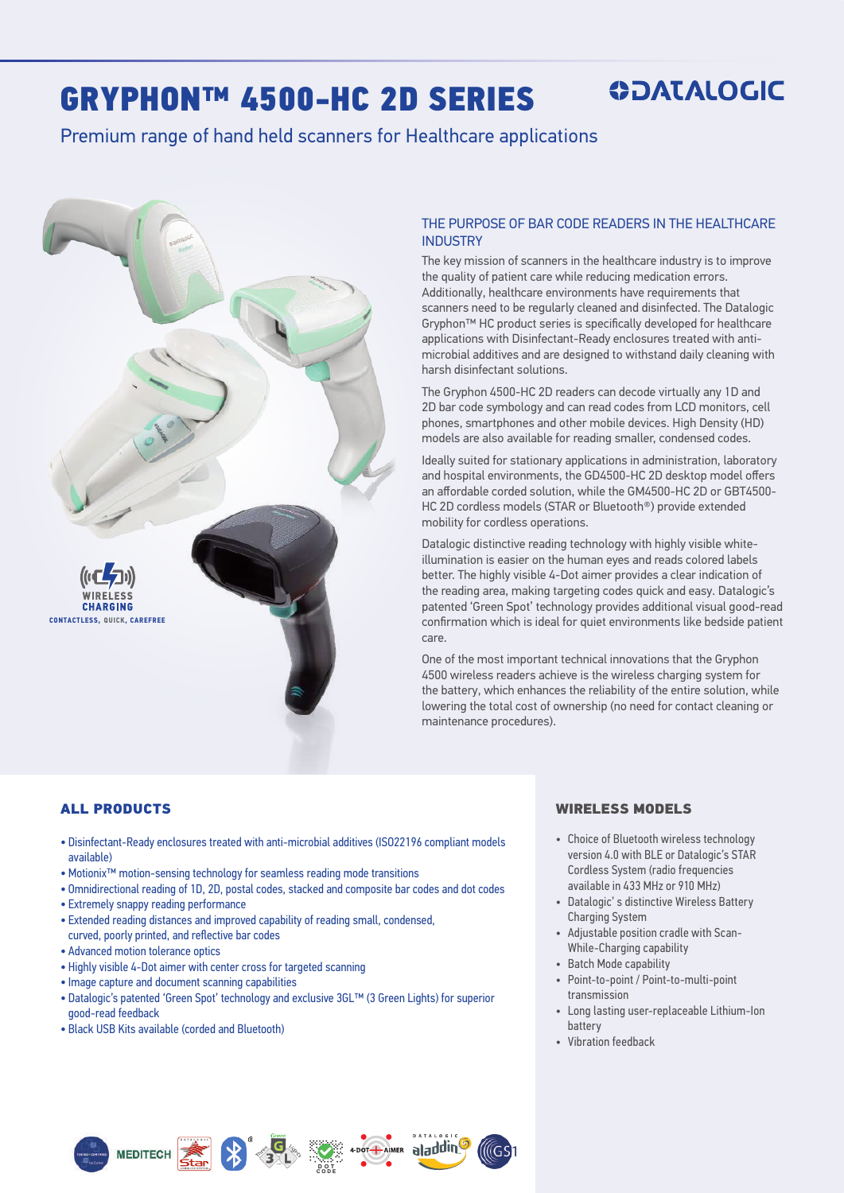# GRYPHON™ 4500-HC 2D SERIES

# **ODATALOGIC**

## Premium range of hand held scanners for Healthcare applications



#### THE PURPOSE OF BAR CODE READERS IN THE HEALTHCARE INDUSTRY

The key mission of scanners in the healthcare industry is to improve the quality of patient care while reducing medication errors. Additionally, healthcare environments have requirements that scanners need to be regularly cleaned and disinfected. The Datalogic Gryphon™ HC product series is specifically developed for healthcare applications with Disinfectant-Ready enclosures treated with antimicrobial additives and are designed to withstand daily cleaning with harsh disinfectant solutions.

The Gryphon 4500-HC 2D readers can decode virtually any 1D and 2D bar code symbology and can read codes from LCD monitors, cell phones, smartphones and other mobile devices. High Density (HD) models are also available for reading smaller, condensed codes.

Ideally suited for stationary applications in administration, laboratory and hospital environments, the GD4500-HC 2D desktop model offers an affordable corded solution, while the GM4500-HC 2D or GBT4500- HC 2D cordless models (STAR or Bluetooth®) provide extended mobility for cordless operations.

Datalogic distinctive reading technology with highly visible whiteillumination is easier on the human eyes and reads colored labels better. The highly visible 4-Dot aimer provides a clear indication of the reading area, making targeting codes quick and easy. Datalogic's patented 'Green Spot' technology provides additional visual good-read confirmation which is ideal for quiet environments like bedside patient care.

One of the most important technical innovations that the Gryphon 4500 wireless readers achieve is the wireless charging system for the battery, which enhances the reliability of the entire solution, while lowering the total cost of ownership (no need for contact cleaning or maintenance procedures).

#### ALL PRODUCTS

- Disinfectant-Ready enclosures treated with anti-microbial additives (ISO22196 compliant models available)
- Motionix™ motion-sensing technology for seamless reading mode transitions
- Omnidirectional reading of 1D, 2D, postal codes, stacked and composite bar codes and dot codes
- Extremely snappy reading performance
- Extended reading distances and improved capability of reading small, condensed, curved, poorly printed, and reflective bar codes
- Advanced motion tolerance optics
- Highly visible 4-Dot aimer with center cross for targeted scanning

MEDITECH **Example 1** 

- Image capture and document scanning capabilities
- Datalogic's patented 'Green Spot' technology and exclusive 3GL™ (3 Green Lights) for superior good-read feedback

**CODE**

DOT + AIMER aladdin

lligs

• Black USB Kits available (corded and Bluetooth)

#### WIRELESS MODELS

- Choice of Bluetooth wireless technology version 4.0 with BLE or Datalogic's STAR Cordless System (radio frequencies available in 433 MHz or 910 MHz)
- Datalogic' s distinctive Wireless Battery Charging System
- Adjustable position cradle with Scan-While-Charging capability
- Batch Mode capability
- Point-to-point / Point-to-multi-point transmission
- Long lasting user-replaceable Lithium-Ion battery
- Vibration feedback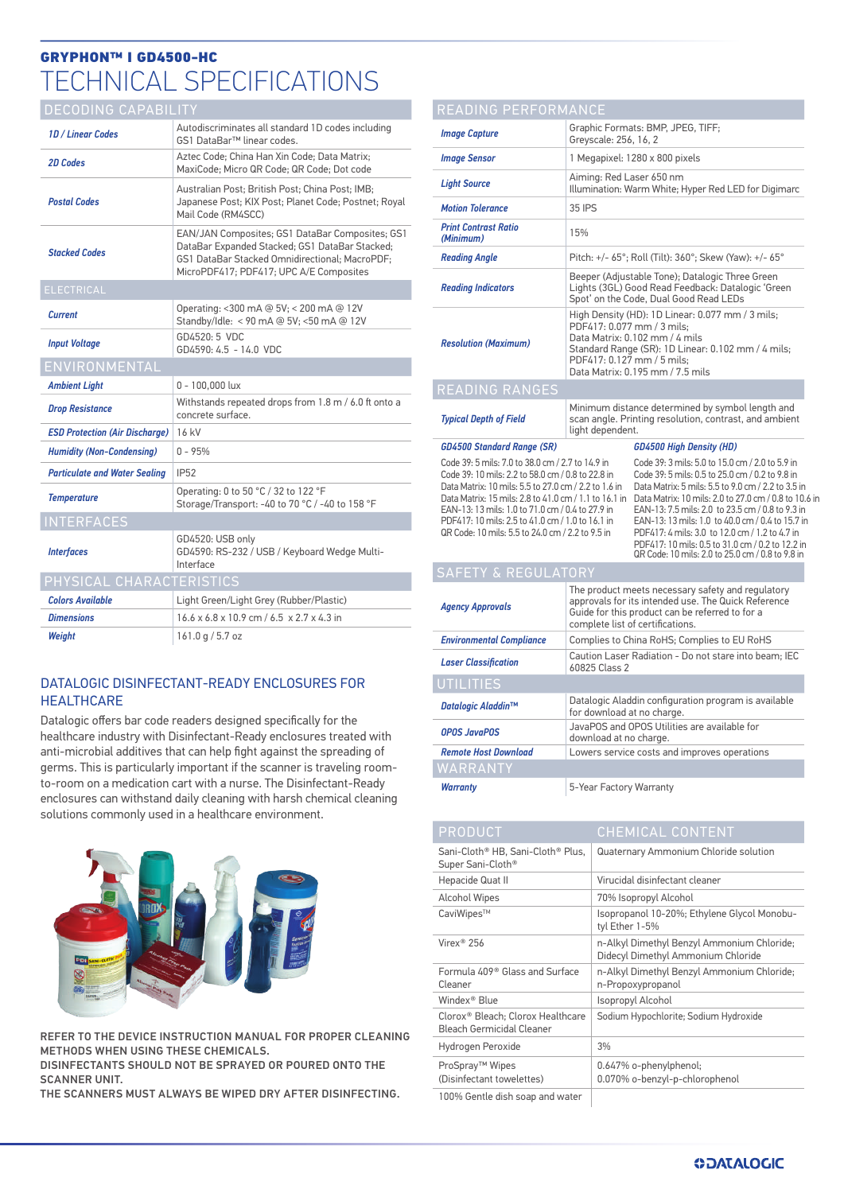# GRYPHON™ I GD4500-HC TECHNICAL SPECIFICATIONS

### DECODING CAPABILITY

| <b>1D</b> / Linear Codes              | Autodiscriminates all standard 1D codes including<br>GS1 DataBar™ linear codes.                                                                                                                |  |
|---------------------------------------|------------------------------------------------------------------------------------------------------------------------------------------------------------------------------------------------|--|
| 2D Codes                              | Aztec Code; China Han Xin Code; Data Matrix;<br>MaxiCode; Micro QR Code; QR Code; Dot code                                                                                                     |  |
| <b>Postal Codes</b>                   | Australian Post; British Post; China Post; IMB;<br>Japanese Post; KIX Post; Planet Code; Postnet; Royal<br>Mail Code (RM4SCC)                                                                  |  |
| <b>Stacked Codes</b>                  | EAN/JAN Composites; GS1 DataBar Composites; GS1<br>DataBar Expanded Stacked; GS1 DataBar Stacked;<br>GS1 DataBar Stacked Omnidirectional: MacroPDF:<br>MicroPDF417; PDF417; UPC A/E Composites |  |
| <b>ELECTRICAL</b>                     |                                                                                                                                                                                                |  |
| <b>Current</b>                        | Operating: <300 mA @ 5V; < 200 mA @ 12V<br>Standby/Idle: < 90 mA @ 5V; <50 mA @ 12V                                                                                                            |  |
| <b>Input Voltage</b>                  | GD4520: 5 VDC<br>$GD4590: 4.5 - 14.0$ VDC                                                                                                                                                      |  |
| ENVIRONMENTAL                         |                                                                                                                                                                                                |  |
| <b>Ambient Light</b>                  | $0 - 100,000$ lux                                                                                                                                                                              |  |
| <b>Drop Resistance</b>                | Withstands repeated drops from 1.8 m / 6.0 ft onto a<br>concrete surface.                                                                                                                      |  |
| <b>ESD Protection (Air Discharge)</b> | 16 kV                                                                                                                                                                                          |  |
| <b>Humidity (Non-Condensing)</b>      | $0 - 95%$                                                                                                                                                                                      |  |
| <b>Particulate and Water Sealing</b>  | <b>IP52</b>                                                                                                                                                                                    |  |
| <b>Temperature</b>                    | Operating: 0 to 50 °C / 32 to 122 °F<br>Storage/Transport: -40 to 70 °C / -40 to 158 °F                                                                                                        |  |
| <b>INTERFACES</b>                     |                                                                                                                                                                                                |  |
| <b>Interfaces</b>                     | GD4520: USB only<br>GD4590: RS-232 / USB / Keyboard Wedge Multi-<br>Interface                                                                                                                  |  |
| PHYSICAL CHARACTERISTICS              |                                                                                                                                                                                                |  |
| <b>Colors Available</b>               | Light Green/Light Grey (Rubber/Plastic)                                                                                                                                                        |  |
| <b>Dimensions</b>                     | $16.6 \times 6.8 \times 10.9$ cm $/ 6.5 \times 2.7 \times 4.3$ in                                                                                                                              |  |
| Weiaht                                | 161.0 q / 5.7 oz                                                                                                                                                                               |  |

#### DATALOGIC DISINFECTANT-READY ENCLOSURES FOR **HEALTHCARE**

Datalogic offers bar code readers designed specifically for the healthcare industry with Disinfectant-Ready enclosures treated with anti-microbial additives that can help fight against the spreading of germs. This is particularly important if the scanner is traveling roomto-room on a medication cart with a nurse. The Disinfectant-Ready enclosures can withstand daily cleaning with harsh chemical cleaning solutions commonly used in a healthcare environment.



REFER TO THE DEVICE INSTRUCTION MANUAL FOR PROPER CLEANING METHODS WHEN USING THESE CHEMICALS.

DISINFECTANTS SHOULD NOT BE SPRAYED OR POURED ONTO THE SCANNER UNIT.

THE SCANNERS MUST ALWAYS BE WIPED DRY AFTER DISINFECTING.

| READING PERFORMANCE                                                                                                                                                                                                                                                                                                                                                                |                                                                                                                                                                                                                                          |                                                                                                                                                                                                                                                                                                                                                                        |  |
|------------------------------------------------------------------------------------------------------------------------------------------------------------------------------------------------------------------------------------------------------------------------------------------------------------------------------------------------------------------------------------|------------------------------------------------------------------------------------------------------------------------------------------------------------------------------------------------------------------------------------------|------------------------------------------------------------------------------------------------------------------------------------------------------------------------------------------------------------------------------------------------------------------------------------------------------------------------------------------------------------------------|--|
| <b>Image Capture</b>                                                                                                                                                                                                                                                                                                                                                               | Graphic Formats: BMP, JPEG, TIFF;<br>Greyscale: 256, 16, 2                                                                                                                                                                               |                                                                                                                                                                                                                                                                                                                                                                        |  |
| <b>Image Sensor</b>                                                                                                                                                                                                                                                                                                                                                                | 1 Megapixel: 1280 x 800 pixels                                                                                                                                                                                                           |                                                                                                                                                                                                                                                                                                                                                                        |  |
| <b>Light Source</b>                                                                                                                                                                                                                                                                                                                                                                | Aiming: Red Laser 650 nm<br>Illumination: Warm White; Hyper Red LED for Digimarc                                                                                                                                                         |                                                                                                                                                                                                                                                                                                                                                                        |  |
| <b>Motion Tolerance</b>                                                                                                                                                                                                                                                                                                                                                            | 35 IPS                                                                                                                                                                                                                                   |                                                                                                                                                                                                                                                                                                                                                                        |  |
| <b>Print Contrast Ratio</b><br>(Minimum)                                                                                                                                                                                                                                                                                                                                           | 15%                                                                                                                                                                                                                                      |                                                                                                                                                                                                                                                                                                                                                                        |  |
| <b>Reading Angle</b>                                                                                                                                                                                                                                                                                                                                                               | Pitch: +/- 65°; Roll (Tilt): 360°; Skew (Yaw): +/- 65°                                                                                                                                                                                   |                                                                                                                                                                                                                                                                                                                                                                        |  |
| <b>Reading Indicators</b>                                                                                                                                                                                                                                                                                                                                                          | Beeper (Adjustable Tone); Datalogic Three Green<br>Lights (3GL) Good Read Feedback: Datalogic 'Green<br>Spot' on the Code, Dual Good Read LEDs                                                                                           |                                                                                                                                                                                                                                                                                                                                                                        |  |
| <b>Resolution (Maximum)</b>                                                                                                                                                                                                                                                                                                                                                        | High Density (HD): 1D Linear: 0.077 mm / 3 mils;<br>PDF417: 0.077 mm / 3 mils:<br>Data Matrix: 0.102 mm / 4 mils<br>Standard Range (SR): 1D Linear: 0.102 mm / 4 mils;<br>PDF417: 0.127 mm / 5 mils:<br>Data Matrix: 0.195 mm / 7.5 mils |                                                                                                                                                                                                                                                                                                                                                                        |  |
| <b>READING RANGES</b>                                                                                                                                                                                                                                                                                                                                                              |                                                                                                                                                                                                                                          |                                                                                                                                                                                                                                                                                                                                                                        |  |
| <b>Typical Depth of Field</b>                                                                                                                                                                                                                                                                                                                                                      | Minimum distance determined by symbol length and<br>scan angle. Printing resolution, contrast, and ambient<br>light dependent.                                                                                                           |                                                                                                                                                                                                                                                                                                                                                                        |  |
|                                                                                                                                                                                                                                                                                                                                                                                    | GD4500 High Density (HD)                                                                                                                                                                                                                 |                                                                                                                                                                                                                                                                                                                                                                        |  |
| <b>GD4500 Standard Range (SR)</b>                                                                                                                                                                                                                                                                                                                                                  |                                                                                                                                                                                                                                          |                                                                                                                                                                                                                                                                                                                                                                        |  |
| Code 39: 5 mils: 7.0 to 38.0 cm / 2.7 to 14.9 in<br>Code 39: 10 mils: 2.2 to 58.0 cm / 0.8 to 22.8 in<br>Data Matrix: 10 mils: 5.5 to 27.0 cm / 2.2 to 1.6 in<br>Data Matrix: 15 mils: 2.8 to 41.0 cm / 1.1 to 16.1 in<br>EAN-13: 13 mils: 1.0 to 71.0 cm / 0.4 to 27.9 in<br>PDF417: 10 mils: 2.5 to 41.0 cm / 1.0 to 16.1 in<br>QR Code: 10 mils: 5.5 to 24.0 cm / 2.2 to 9.5 in |                                                                                                                                                                                                                                          | Code 39: 3 mils: 5.0 to 15.0 cm / 2.0 to 5.9 in<br>Code 39: 5 mils: 0.5 to 25.0 cm / 0.2 to 9.8 in<br>Data Matrix: 5 mils: 5.5 to 9.0 cm / 2.2 to 3.5 in<br>EAN-13: 7.5 mils: 2.0 to 23.5 cm / 0.8 to 9.3 in<br>PDF417: 4 mils: 3.0 to 12.0 cm / 1.2 to 4.7 in<br>PDF417: 10 mils: 0.5 to 31.0 cm / 0.2 to 12.2 in<br>QR Code: 10 mils: 2.0 to 25.0 cm / 0.8 to 9.8 in |  |
| <b>SAFETY &amp; REGULATORY</b>                                                                                                                                                                                                                                                                                                                                                     |                                                                                                                                                                                                                                          | EAN-13: 13 mils: 1.0 to 40.0 cm / 0.4 to 15.7 in                                                                                                                                                                                                                                                                                                                       |  |
| <b>Agency Approvals</b>                                                                                                                                                                                                                                                                                                                                                            |                                                                                                                                                                                                                                          | Data Matrix: 10 mils: 2.0 to 27.0 cm / 0.8 to 10.6 in<br>The product meets necessary safety and regulatory<br>approvals for its intended use. The Quick Reference<br>Guide for this product can be referred to for a<br>complete list of certifications.                                                                                                               |  |
| <b>Environmental Compliance</b>                                                                                                                                                                                                                                                                                                                                                    |                                                                                                                                                                                                                                          | Complies to China RoHS; Complies to EU RoHS                                                                                                                                                                                                                                                                                                                            |  |
| <b>Laser Classification</b>                                                                                                                                                                                                                                                                                                                                                        | 60825 Class 2                                                                                                                                                                                                                            | Caution Laser Radiation - Do not stare into beam; IEC                                                                                                                                                                                                                                                                                                                  |  |
| UTILITIES                                                                                                                                                                                                                                                                                                                                                                          |                                                                                                                                                                                                                                          |                                                                                                                                                                                                                                                                                                                                                                        |  |
| Datalogic Aladdin™                                                                                                                                                                                                                                                                                                                                                                 | for download at no charge.                                                                                                                                                                                                               | Datalogic Aladdin configuration program is available                                                                                                                                                                                                                                                                                                                   |  |
| <b>OPOS JavaPOS</b>                                                                                                                                                                                                                                                                                                                                                                | download at no charge.                                                                                                                                                                                                                   | JavaPOS and OPOS Utilities are available for                                                                                                                                                                                                                                                                                                                           |  |
| <b>Remote Host Download</b><br>WARRANT'                                                                                                                                                                                                                                                                                                                                            |                                                                                                                                                                                                                                          | Lowers service costs and improves operations                                                                                                                                                                                                                                                                                                                           |  |

| PRODUCT                                                                    | <b>CHEMICAL CONTENT</b>                                                          |
|----------------------------------------------------------------------------|----------------------------------------------------------------------------------|
| Sani-Cloth® HB, Sani-Cloth® Plus,<br>Super Sani-Cloth®                     | Quaternary Ammonium Chloride solution                                            |
| Hepacide Quat II                                                           | Virucidal disinfectant cleaner                                                   |
| <b>Alcohol Wipes</b>                                                       | 70% Isopropyl Alcohol                                                            |
| CaviWipes™                                                                 | Isopropanol 10-20%; Ethylene Glycol Monobu-<br>tyl Ether 1-5%                    |
| Virex <sup>®</sup> 256                                                     | n-Alkyl Dimethyl Benzyl Ammonium Chloride;<br>Didecyl Dimethyl Ammonium Chloride |
| Formula 409 <sup>®</sup> Glass and Surface<br>Cleaner                      | n-Alkyl Dimethyl Benzyl Ammonium Chloride;<br>n-Propoxypropanol                  |
| Windex® Blue                                                               | Isopropyl Alcohol                                                                |
| Clorox <sup>®</sup> Bleach: Clorox Healthcare<br>Bleach Germicidal Cleaner | Sodium Hypochlorite; Sodium Hydroxide                                            |
| Hydrogen Peroxide                                                          | 3%                                                                               |
| ProSpray <sup>™</sup> Wipes<br>(Disinfectant towelettes)                   | 0.647% o-phenylphenol;<br>0.070% o-benzyl-p-chlorophenol                         |
| 100% Gentle dish soap and water                                            |                                                                                  |

*Warranty* 5-Year Factory Warranty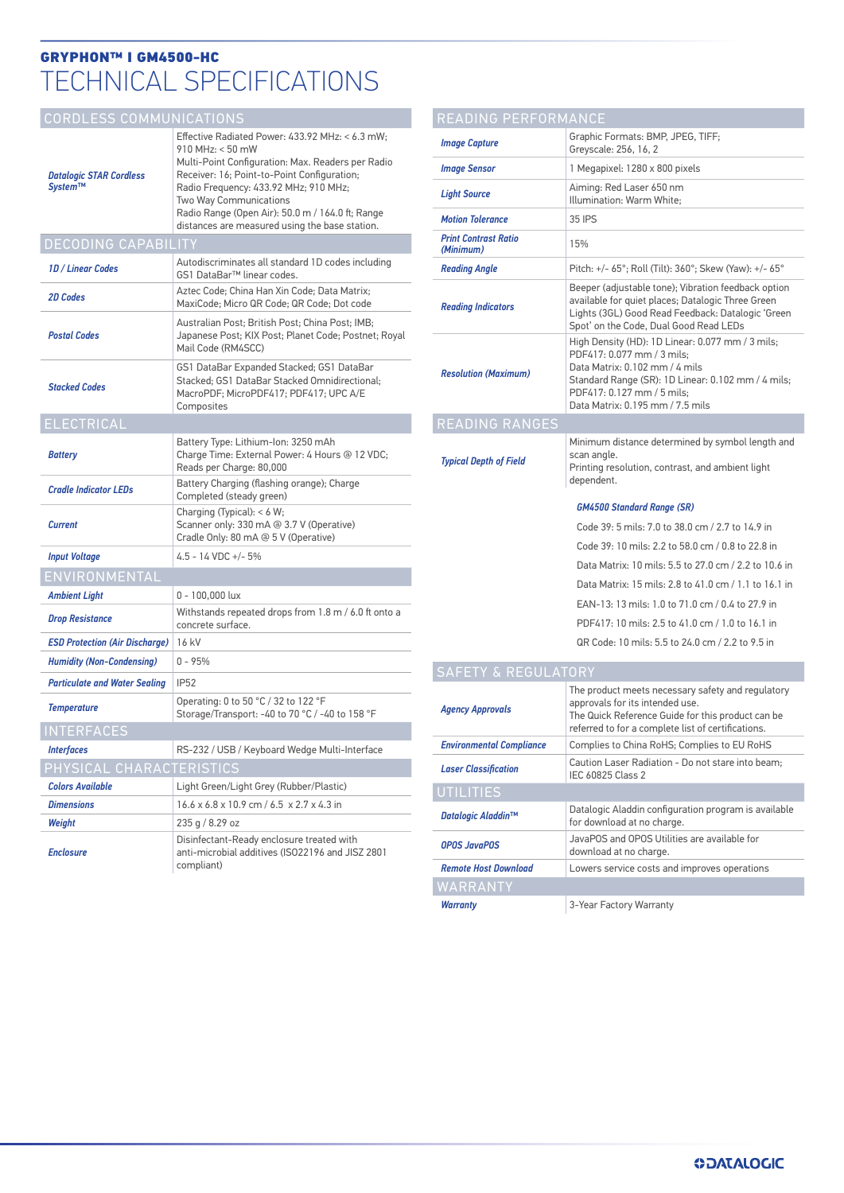# TECHNICAL SPECIFICATIONS GRYPHON™ I GM4500-HC

### CORDLESS COMMUNICATIONS

| <b>Datalogic STAR Cordless</b><br>System™ | Effective Radiated Power: 433.92 MHz: < 6.3 mW;<br>910 MHz: < 50 mW<br>Multi-Point Configuration: Max. Readers per Radio<br>Receiver: 16; Point-to-Point Configuration;<br>Radio Freguency: 433.92 MHz; 910 MHz;<br>Two Way Communications<br>Radio Range (Open Air): 50.0 m / 164.0 ft; Range<br>distances are measured using the base station. |  |
|-------------------------------------------|--------------------------------------------------------------------------------------------------------------------------------------------------------------------------------------------------------------------------------------------------------------------------------------------------------------------------------------------------|--|
| <b>DECODING CAPABILITY</b>                |                                                                                                                                                                                                                                                                                                                                                  |  |
| 1D / Linear Codes                         | Autodiscriminates all standard 1D codes including<br>GS1 DataBar™ linear codes.                                                                                                                                                                                                                                                                  |  |
| 2D Codes                                  | Aztec Code; China Han Xin Code; Data Matrix;<br>MaxiCode; Micro QR Code; QR Code; Dot code                                                                                                                                                                                                                                                       |  |
| <b>Postal Codes</b>                       | Australian Post: British Post: China Post: IMB:<br>Japanese Post; KIX Post; Planet Code; Postnet; Royal<br>Mail Code (RM4SCC)                                                                                                                                                                                                                    |  |
| <b>Stacked Codes</b>                      | GS1 DataBar Expanded Stacked; GS1 DataBar<br>Stacked; GS1 DataBar Stacked Omnidirectional;<br>MacroPDF; MicroPDF417; PDF417; UPC A/E<br>Composites                                                                                                                                                                                               |  |
| <b>ELECTRICAL</b>                         |                                                                                                                                                                                                                                                                                                                                                  |  |
| <b>Battery</b>                            | Battery Type: Lithium-Ion: 3250 mAh<br>Charge Time: External Power: 4 Hours @ 12 VDC:<br>Reads per Charge: 80,000                                                                                                                                                                                                                                |  |
| <b>Cradle Indicator LEDs</b>              | Battery Charging (flashing orange); Charge<br>Completed (steady green)                                                                                                                                                                                                                                                                           |  |
| <b>Current</b>                            | Charging (Typical): $< 6 W$ ;<br>Scanner only: 330 mA @ 3.7 V (Operative)<br>Cradle Only: 80 mA @ 5 V (Operative)                                                                                                                                                                                                                                |  |
| <b>Input Voltage</b>                      | 4.5 - 14 VDC +/- 5%                                                                                                                                                                                                                                                                                                                              |  |
| ENVIRONMENTAL                             |                                                                                                                                                                                                                                                                                                                                                  |  |
| <b>Ambient Light</b>                      | 0 - 100,000 lux                                                                                                                                                                                                                                                                                                                                  |  |
| <b>Drop Resistance</b>                    | Withstands repeated drops from 1.8 m / 6.0 ft onto a<br>concrete surface.                                                                                                                                                                                                                                                                        |  |
| <b>ESD Protection (Air Discharge)</b>     | 16 kV                                                                                                                                                                                                                                                                                                                                            |  |
| <b>Humidity (Non-Condensing)</b>          | $0 - 95%$                                                                                                                                                                                                                                                                                                                                        |  |
| <b>Particulate and Water Sealing</b>      | <b>IP52</b>                                                                                                                                                                                                                                                                                                                                      |  |
| <b>Temperature</b>                        | Operating: 0 to 50 °C / 32 to 122 °F<br>Storage/Transport: -40 to 70 °C / -40 to 158 °F                                                                                                                                                                                                                                                          |  |
| <b>INTERFACES</b>                         |                                                                                                                                                                                                                                                                                                                                                  |  |
| <b>Interfaces</b>                         | RS-232 / USB / Keyboard Wedge Multi-Interface                                                                                                                                                                                                                                                                                                    |  |
| PHYSICAL CHARACTERISTICS                  |                                                                                                                                                                                                                                                                                                                                                  |  |
| <b>Colors Available</b>                   | Light Green/Light Grey (Rubber/Plastic)                                                                                                                                                                                                                                                                                                          |  |
| <b>Dimensions</b>                         | 16.6 x 6.8 x 10.9 cm / 6.5 x 2.7 x 4.3 in                                                                                                                                                                                                                                                                                                        |  |
| Weight                                    | 235 g / 8.29 oz                                                                                                                                                                                                                                                                                                                                  |  |
| <b>Enclosure</b>                          | Disinfectant-Ready enclosure treated with<br>anti-microbial additives (ISO22196 and JISZ 2801<br>compliant)                                                                                                                                                                                                                                      |  |

| READING PERFORMANCE                      |                                                                                                                                                                                                                                          |  |  |
|------------------------------------------|------------------------------------------------------------------------------------------------------------------------------------------------------------------------------------------------------------------------------------------|--|--|
| <b>Image Capture</b>                     | Graphic Formats: BMP, JPEG, TIFF;<br>Greyscale: 256, 16, 2                                                                                                                                                                               |  |  |
| Image Sensor                             | 1 Megapixel: 1280 x 800 pixels                                                                                                                                                                                                           |  |  |
| <b>Light Source</b>                      | Aiming: Red Laser 650 nm<br>Illumination: Warm White:                                                                                                                                                                                    |  |  |
| <b>Motion Tolerance</b>                  | 35 IPS                                                                                                                                                                                                                                   |  |  |
| <b>Print Contrast Ratio</b><br>(Minimum) | 15%                                                                                                                                                                                                                                      |  |  |
| <b>Reading Angle</b>                     | Pitch: +/- 65°; Roll (Tilt): 360°; Skew (Yaw): +/- 65°                                                                                                                                                                                   |  |  |
| <b>Reading Indicators</b>                | Beeper (adjustable tone); Vibration feedback option<br>available for quiet places; Datalogic Three Green<br>Lights (3GL) Good Read Feedback: Datalogic 'Green<br>Spot' on the Code, Dual Good Read LEDs                                  |  |  |
| <b>Resolution (Maximum)</b>              | High Density (HD): 1D Linear: 0.077 mm / 3 mils;<br>PDF417: 0.077 mm / 3 mils:<br>Data Matrix: 0.102 mm / 4 mils<br>Standard Range (SR): 1D Linear: 0.102 mm / 4 mils;<br>PDF417: 0.127 mm / 5 mils:<br>Data Matrix: 0.195 mm / 7.5 mils |  |  |
| <b>READING RANGES</b>                    |                                                                                                                                                                                                                                          |  |  |
| <b>Typical Depth of Field</b>            | Minimum distance determined by symbol length and<br>scan angle.<br>Printing resolution, contrast, and ambient light<br>dependent.                                                                                                        |  |  |
|                                          | <b>GM4500 Standard Range (SR)</b>                                                                                                                                                                                                        |  |  |
|                                          | Code 39: 5 mils: 7.0 to 38.0 cm / 2.7 to 14.9 in                                                                                                                                                                                         |  |  |
|                                          | Code 39: 10 mils: 2.2 to 58.0 cm / 0.8 to 22.8 in                                                                                                                                                                                        |  |  |
|                                          | Data Matrix: 10 mils: 5.5 to 27.0 cm / 2.2 to 10.6 in                                                                                                                                                                                    |  |  |
|                                          | Data Matrix: 15 mils: 2.8 to 41.0 cm / 1.1 to 16.1 in                                                                                                                                                                                    |  |  |
|                                          | EAN-13: 13 mils: 1.0 to 71.0 cm / 0.4 to 27.9 in                                                                                                                                                                                         |  |  |
|                                          | PDF417: 10 mils: 2.5 to 41.0 cm / 1.0 to 16.1 in                                                                                                                                                                                         |  |  |
|                                          | QR Code: 10 mils: 5.5 to 24.0 cm / 2.2 to 9.5 in                                                                                                                                                                                         |  |  |

### SAFETY & REGULATORY

| <b>Agency Approvals</b>         | The product meets necessary safety and regulatory<br>approvals for its intended use.<br>The Quick Reference Guide for this product can be<br>referred to for a complete list of certifications. |  |
|---------------------------------|-------------------------------------------------------------------------------------------------------------------------------------------------------------------------------------------------|--|
| <b>Environmental Compliance</b> | Complies to China RoHS; Complies to EU RoHS                                                                                                                                                     |  |
| <b>Laser Classification</b>     | Caution Laser Radiation - Do not stare into beam:<br>IEC 60825 Class 2                                                                                                                          |  |
| <b>UTILITIES</b>                |                                                                                                                                                                                                 |  |
| Datalogic Aladdin™              | Datalogic Aladdin configuration program is available<br>for download at no charge.                                                                                                              |  |
| <b>OPOS JavaPOS</b>             | JavaPOS and OPOS Utilities are available for<br>download at no charge.                                                                                                                          |  |
| <b>Remote Host Download</b>     | Lowers service costs and improves operations                                                                                                                                                    |  |
| WARRANTY                        |                                                                                                                                                                                                 |  |
| <b>Warranty</b>                 | 3-Year Factory Warranty                                                                                                                                                                         |  |
|                                 |                                                                                                                                                                                                 |  |